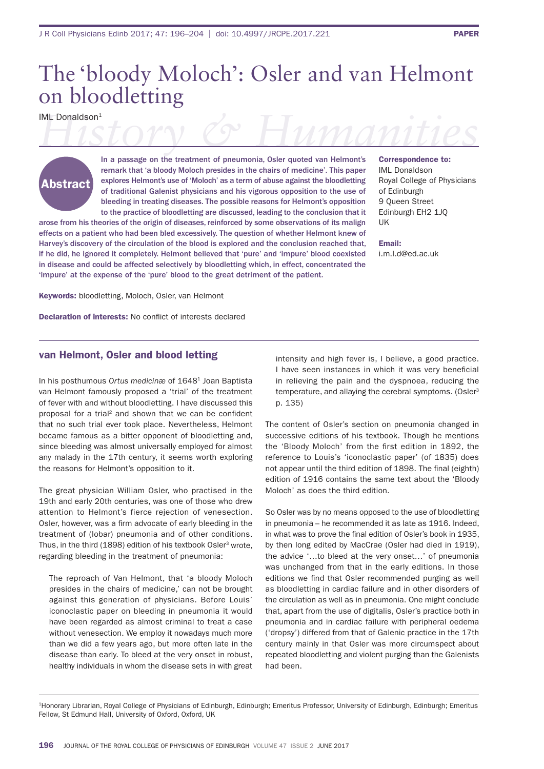# The 'bloody Moloch': Osler and van Helmont on bloodletting

*History & Humanities* IML Donaldson $1$ 



In a passage on the treatment of pneumonia, Osler quoted van Helmont's remark that 'a bloody Moloch presides in the chairs of medicine'. This paper explores Helmont's use of 'Moloch' as a term of abuse against the bloodletting of traditional Galenist physicians and his vigorous opposition to the use of bleeding in treating diseases. The possible reasons for Helmont's opposition to the practice of bloodletting are discussed, leading to the conclusion that it

arose from his theories of the origin of diseases, reinforced by some observations of its malign effects on a patient who had been bled excessively. The question of whether Helmont knew of Harvey's discovery of the circulation of the blood is explored and the conclusion reached that, if he did, he ignored it completely. Helmont believed that 'pure' and 'impure' blood coexisted in disease and could be affected selectively by bloodletting which, in effect, concentrated the 'impure' at the expense of the 'pure' blood to the great detriment of the patient.

Correspondence to: IMI Donaldson Royal College of Physicians of Edinburgh 9 Queen street Edinburgh EH2 1JQ uK

Email: i.m.l.d@ed.ac.uk

Keywords: bloodletting, moloch, osler, van helmont

Declaration of interests: No conflict of interests declared

# van Helmont, Osler and blood letting

In his posthumous Ortus medicinæ of 1648<sup>1</sup> Joan Baptista van helmont famously proposed a 'trial' of the treatment of fever with and without bloodletting. I have discussed this proposal for a trial<sup>2</sup> and shown that we can be confident that no such trial ever took place. Nevertheless, Helmont became famous as a bitter opponent of bloodletting and, since bleeding was almost universally employed for almost any malady in the 17th century, it seems worth exploring the reasons for helmont's opposition to it.

The great physician William Osler, who practised in the 19th and early 20th centuries, was one of those who drew attention to helmont's fierce rejection of venesection. Osler, however, was a firm advocate of early bleeding in the treatment of (lobar) pneumonia and of other conditions. Thus, in the third (1898) edition of his textbook Osler<sup>3</sup> wrote, regarding bleeding in the treatment of pneumonia:

The reproach of Van Helmont, that 'a bloody Moloch presides in the chairs of medicine,' can not be brought against this generation of physicians. before louis' iconoclastic paper on bleeding in pneumonia it would have been regarded as almost criminal to treat a case without venesection. We employ it nowadays much more than we did a few years ago, but more often late in the disease than early. To bleed at the very onset in robust, healthy individuals in whom the disease sets in with great

intensity and high fever is, I believe, a good practice. I have seen instances in which it was very beneficial in relieving the pain and the dyspnoea, reducing the temperature, and allaying the cerebral symptoms. (Osler<sup>3</sup> p. 135)

The content of Osler's section on pneumonia changed in successive editions of his textbook. Though he mentions the 'Bloody Moloch' from the first edition in 1892, the reference to louis's 'iconoclastic paper' (of 1835) does not appear until the third edition of 1898. The final (eighth) edition of 1916 contains the same text about the 'Bloody' moloch' as does the third edition.

so osler was by no means opposed to the use of bloodletting in pneumonia – he recommended it as late as 1916. indeed, in what was to prove the final edition of Osler's book in 1935, by then long edited by MacCrae (Osler had died in 1919), the advice '…to bleed at the very onset…' of pneumonia was unchanged from that in the early editions. in those editions we find that Osler recommended purging as well as bloodletting in cardiac failure and in other disorders of the circulation as well as in pneumonia. One might conclude that, apart from the use of digitalis, Osler's practice both in pneumonia and in cardiac failure with peripheral oedema ('dropsy') differed from that of galenic practice in the 17th century mainly in that osler was more circumspect about repeated bloodletting and violent purging than the galenists had been.

<sup>1</sup>Honorary Librarian, Royal College of Physicians of Edinburgh, Edinburgh; Emeritus Professor, University of Edinburgh, Edinburgh; Emeritus Fellow, St Edmund Hall, University of Oxford, Oxford, UK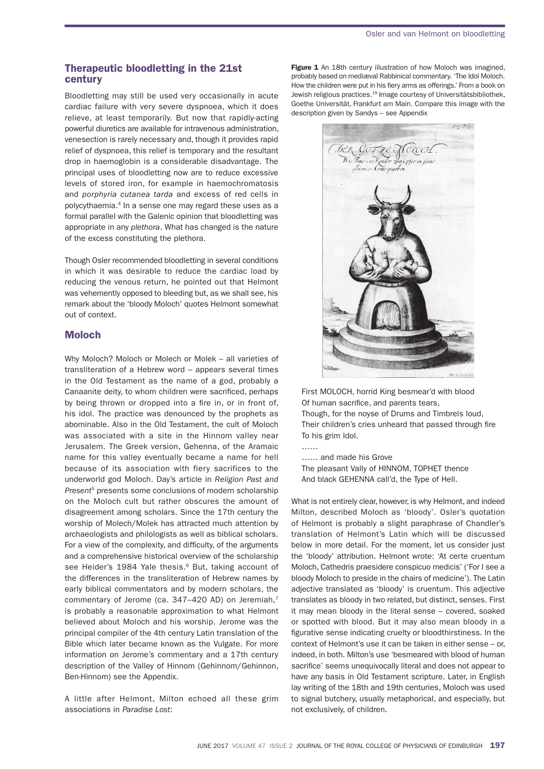# Therapeutic bloodletting in the 21st century

bloodletting may still be used very occasionally in acute cardiac failure with very severe dyspnoea, which it does relieve, at least temporarily. But now that rapidly-acting powerful diuretics are available for intravenous administration, venesection is rarely necessary and, though it provides rapid relief of dyspnoea, this relief is temporary and the resultant drop in haemoglobin is a considerable disadvantage. The principal uses of bloodletting now are to reduce excessive levels of stored iron, for example in haemochromatosis and *porphyria cutanea tarda* and excess of red cells in polycythaemia.4 in a sense one may regard these uses as a formal parallel with the Galenic opinion that bloodletting was appropriate in any *plethora*. What has changed is the nature of the excess constituting the plethora.

Though Osler recommended bloodletting in several conditions in which it was desirable to reduce the cardiac load by reducing the venous return, he pointed out that Helmont was vehemently opposed to bleeding but, as we shall see, his remark about the 'bloody Moloch' quotes Helmont somewhat out of context.

# Moloch

Why Moloch? Moloch or Molech or Molek – all varieties of transliteration of a hebrew word – appears several times in the Old Testament as the name of a god, probably a Canaanite deity, to whom children were sacrificed, perhaps by being thrown or dropped into a fire in, or in front of, his idol. The practice was denounced by the prophets as abominable. Also in the Old Testament, the cult of Moloch was associated with a site in the Hinnom valley near Jerusalem. The Greek version, Gehenna, of the Aramaic name for this valley eventually became a name for hell because of its association with fiery sacrifices to the underworld god Moloch. Day's article in *Religion Past and Present*5 presents some conclusions of modern scholarship on the moloch cult but rather obscures the amount of disagreement among scholars. since the 17th century the worship of molech/molek has attracted much attention by archaeologists and philologists as well as biblical scholars. For a view of the complexity, and difficulty, of the arguments and a comprehensive historical overview of the scholarship see Heider's 1984 Yale thesis.<sup>6</sup> But, taking account of the differences in the transliteration of hebrew names by early biblical commentators and by modern scholars, the commentary of Jerome (ca. 347–420 AD) on Jeremiah.<sup>7</sup> is probably a reasonable approximation to what Helmont believed about moloch and his worship. Jerome was the principal compiler of the 4th century latin translation of the bible which later became known as the vulgate. for more information on Jerome's commentary and a 17th century description of the Valley of Hinnom (Gehinnom/Gehinnon, Ben-Hinnom) see the Appendix.

a little after helmont, milton echoed all these grim associations in *Paradise Lost*:

Figure 1 An 18th century illustration of how Moloch was imagined, probably based on mediæval Rabbinical commentary. 'The Idol Moloch. How the children were put in his fiery arms as offerings.' From a book on Jewish religious practices.<sup>19</sup> Image courtesy of Universitätsbibliothek, Goethe Universität, Frankfurt am Main. Compare this image with the description given by Sandys - see Appendix



first moloCh, horrid King besmear'd with blood Of human sacrifice, and parents tears, Though, for the noyse of Drums and Timbrels loud, Their children's cries unheard that passed through fire To his grim Idol.

…… and made his Grove The pleasant Vally of HINNOM, TOPHET thence And black GEHENNA call'd, the Type of Hell.

……

What is not entirely clear, however, is why helmont, and indeed milton, described moloch as 'bloody'. osler's quotation of helmont is probably a slight paraphrase of Chandler's translation of helmont's latin which will be discussed below in more detail. for the moment, let us consider just the 'bloody' attribution. Helmont wrote: 'At certe cruentum moloch, Cathedris praesidere conspicuo medicis' ('for i see a bloody Moloch to preside in the chairs of medicine'). The Latin adiective translated as 'bloody' is cruentum. This adiective translates as bloody in two related, but distinct, senses. first it may mean bloody in the literal sense – covered, soaked or spotted with blood. but it may also mean bloody in a figurative sense indicating cruelty or bloodthirstiness. In the context of helmont's use it can be taken in either sense – or, indeed, in both. milton's use 'besmeared with blood of human sacrifice' seems unequivocally literal and does not appear to have any basis in Old Testament scripture. Later, in English lay writing of the 18th and 19th centuries, moloch was used to signal butchery, usually metaphorical, and especially, but not exclusively, of children.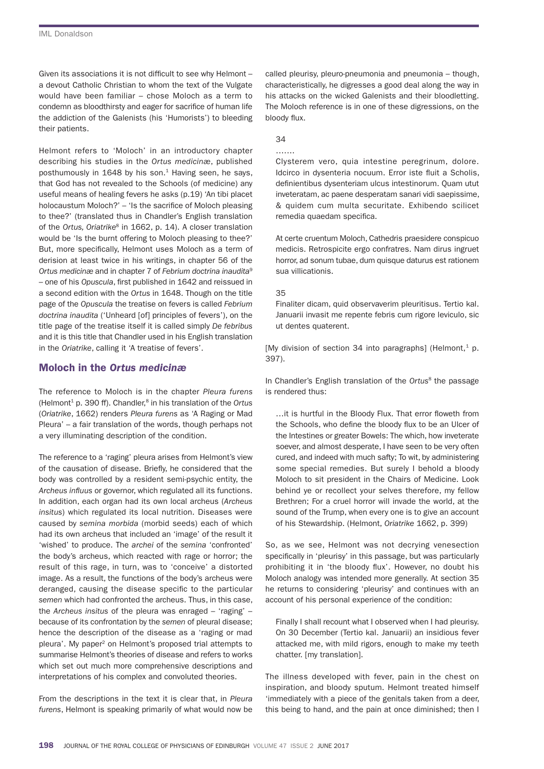Given its associations it is not difficult to see why Helmont a devout Catholic Christian to whom the text of the vulgate would have been familiar - chose Moloch as a term to condemn as bloodthirsty and eager for sacrifice of human life the addiction of the Galenists (his 'Humorists') to bleeding their patients.

Helmont refers to 'Moloch' in an introductory chapter describing his studies in the *Ortus medicinæ*, published posthumously in  $1648$  by his son.<sup>1</sup> Having seen, he says, that god has not revealed to the schools (of medicine) any useful means of healing fevers he asks (p.19) 'An tibi placet holocaustum Moloch?' – 'Is the sacrifice of Moloch pleasing to thee?' (translated thus in Chandler's English translation of the *Ortus, Oriatrike<sup>8</sup>* in 1662, p. 14). A closer translation would be 'Is the burnt offering to Moloch pleasing to thee?' But, more specifically, Helmont uses Moloch as a term of derision at least twice in his writings, in chapter 56 of the *Ortus medicinæ* and in chapter 7 of *Febrium doctrina inaudita*<sup>9</sup> – one of his *Opuscula*, first published in 1642 and reissued in a second edition with the *Ortus* in 1648. Though on the title page of the *Opuscula* the treatise on fevers is called *Febrium* doctrina inaudita ('Unheard [of] principles of fevers'), on the title page of the treatise itself it is called simply *De febribus* and it is this title that Chandler used in his English translation in the *Oriatrike*, calling it 'A treatise of fevers'.

# Moloch in the *Ortus medicinæ*

the reference to moloch is in the chapter *Pleura furens* (Helmont<sup>1</sup> p. 390 ff). Chandler,<sup>8</sup> in his translation of the *Ortus* (Oriatrike, 1662) renders Pleura furens as 'A Raging or Mad Pleura' – a fair translation of the words, though perhaps not a very illuminating description of the condition.

The reference to a 'raging' pleura arises from Helmont's view of the causation of disease. Briefly, he considered that the body was controlled by a resident semi-psychic entity, the Archeus influus or governor, which regulated all its functions. in addition, each organ had its own local archeus (*Archeus insitus*) which regulated its local nutrition. Diseases were caused by *semina morbida* (morbid seeds) each of which had its own archeus that included an 'image' of the result it 'wished' to produce. The *archei* of the semina 'confronted' the body's archeus, which reacted with rage or horror; the result of this rage, in turn, was to 'conceive' a distorted image. As a result, the functions of the body's archeus were deranged, causing the disease specific to the particular *semen* which had confronted the archeus. Thus, in this case, the *Archeus insitus* of the pleura was enraged – 'raging' – because of its confrontation by the *semen* of pleural disease; hence the description of the disease as a 'raging or mad pleura'. my paper2 on helmont's proposed trial attempts to summarise helmont's theories of disease and refers to works which set out much more comprehensive descriptions and interpretations of his complex and convoluted theories.

from the descriptions in the text it is clear that, in *Pleura*  furens, Helmont is speaking primarily of what would now be

called pleurisy, pleuro-pneumonia and pneumonia – though, characteristically, he digresses a good deal along the way in his attacks on the wicked Galenists and their bloodletting. The Moloch reference is in one of these digressions, on the bloody flux.

#### 34 ………

Clysterem vero, quia intestine peregrinum, dolore. Idcirco in dysenteria nocuum. Error iste fluit a Scholis, definientibus dysenteriam ulcus intestinorum. Quam utut inveteratam, ac paene desperatam sanari vidi saepissime, & quidem cum multa securitate. Exhibendo scilicet remedia quaedam specifica.

at certe cruentum moloch, Cathedris praesidere conspicuo medicis. Retrospicite ergo confratres. Nam dirus ingruet horror, ad sonum tubae, dum quisque daturus est rationem sua villicationis.

#### 35

Finaliter dicam, quid observaverim pleuritisus. Tertio kal. Januarii invasit me repente febris cum rigore leviculo, sic ut dentes quaterent.

[My division of section 34 into paragraphs] (Helmont, $1$  p. 397).

In Chandler's English translation of the *Ortus<sup>8</sup>* the passage is rendered thus:

... it is hurtful in the Bloody Flux. That error floweth from the Schools, who define the bloody flux to be an Ulcer of the Intestines or greater Bowels: The which, how inveterate soever, and almost desperate. I have seen to be very often cured, and indeed with much safty; To wit, by administering some special remedies. But surely I behold a bloody moloch to sit president in the Chairs of medicine. look behind ye or recollect your selves therefore, my fellow brethren; for a cruel horror will invade the world, at the sound of the Trump, when every one is to give an account of his stewardship. (helmont, *Oriatrike* 1662, p. 399)

so, as we see, helmont was not decrying venesection specifically in 'pleurisy' in this passage, but was particularly prohibiting it in 'the bloody flux'. However, no doubt his Moloch analogy was intended more generally. At section 35 he returns to considering 'pleurisy' and continues with an account of his personal experience of the condition:

Finally I shall recount what I observed when I had pleurisy. On 30 December (Tertio kal. Januarii) an insidious fever attacked me, with mild rigors, enough to make my teeth chatter. [my translation].

The illness developed with fever, pain in the chest on inspiration, and bloody sputum. Helmont treated himself 'immediately with a piece of the genitals taken from a deer, this being to hand, and the pain at once diminished; then I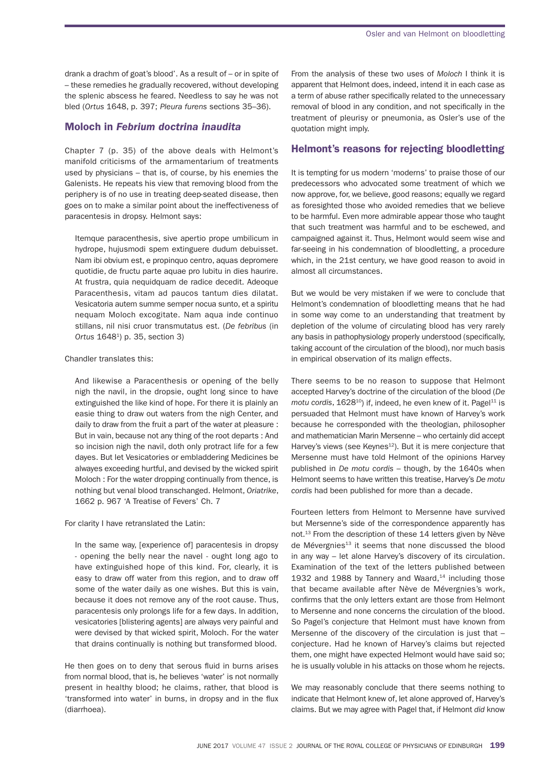drank a drachm of goat's blood'. As a result of  $-$  or in spite of – these remedies he gradually recovered, without developing the splenic abscess he feared. Needless to say he was not bled (*Ortus* 1648, p. 397; *Pleura furens* sections 35–36).

# Moloch in *Febrium doctrina inaudita*

Chapter 7 (p. 35) of the above deals with helmont's manifold criticisms of the armamentarium of treatments used by physicians – that is, of course, by his enemies the Galenists. He repeats his view that removing blood from the periphery is of no use in treating deep-seated disease, then goes on to make a similar point about the ineffectiveness of paracentesis in dropsy. Helmont says:

itemque paracenthesis, sive apertio prope umbilicum in hydrope, hujusmodi spem extinguere dudum debuisset. Nam ibi obvium est, e propinquo centro, aquas depromere quotidie, de fructu parte aquae pro lubitu in dies haurire. At frustra, quia nequidquam de radice decedit. Adeoque Paracenthesis, vitam ad paucos tantum dies dilatat. vesicatoria autem summe semper nocua sunto, et a spiritu nequam Moloch excogitate. Nam aqua inde continuo stillans, nil nisi cruor transmutatus est. (*De febribus* (in *Ortus* 16481) p. 35, section 3)

#### Chandler translates this:

And likewise a Paracenthesis or opening of the belly nigh the navil, in the dropsie, ought long since to have extinguished the like kind of hope. for there it is plainly an easie thing to draw out waters from the nigh Center, and daily to draw from the fruit a part of the water at pleasure : But in vain, because not any thing of the root departs : And so incision nigh the navil, doth only protract life for a few dayes. But let Vesicatories or embladdering Medicines be alwayes exceeding hurtful, and devised by the wicked spirit moloch : for the water dropping continually from thence, is nothing but venal blood transchanged. helmont, *Oriatrike*, 1662 p. 967 'A Treatise of Fevers' Ch. 7

For clarity I have retranslated the Latin:

In the same way, [experience of] paracentesis in dropsy - opening the belly near the navel - ought long ago to have extinguished hope of this kind. for, clearly, it is easy to draw off water from this region, and to draw off some of the water daily as one wishes. But this is vain, because it does not remove any of the root cause. Thus, paracentesis only prolongs life for a few days. in addition, vesicatories [blistering agents] are always very painful and were devised by that wicked spirit, moloch. for the water that drains continually is nothing but transformed blood.

He then goes on to deny that serous fluid in burns arises from normal blood, that is, he believes 'water' is not normally present in healthy blood; he claims, rather, that blood is 'transformed into water' in burns, in dropsy and in the flux (diarrhoea).

from the analysis of these two uses of *Moloch* i think it is apparent that Helmont does, indeed, intend it in each case as a term of abuse rather specifically related to the unnecessary removal of blood in any condition, and not specifically in the treatment of pleurisy or pneumonia, as osler's use of the quotation might imply.

### Helmont's reasons for rejecting bloodletting

It is tempting for us modern 'moderns' to praise those of our predecessors who advocated some treatment of which we now approve, for, we believe, good reasons; equally we regard as foresighted those who avoided remedies that we believe to be harmful. Even more admirable appear those who taught that such treatment was harmful and to be eschewed, and campaigned against it. Thus, Helmont would seem wise and far-seeing in his condemnation of bloodletting, a procedure which, in the 21st century, we have good reason to avoid in almost all circumstances.

But we would be very mistaken if we were to conclude that helmont's condemnation of bloodletting means that he had in some way come to an understanding that treatment by depletion of the volume of circulating blood has very rarely any basis in pathophysiology properly understood (specifically, taking account of the circulation of the blood), nor much basis in empirical observation of its malign effects.

There seems to be no reason to suppose that Helmont accepted harvey's doctrine of the circulation of the blood (*De motu cordis*, 1628<sup>10</sup>) if, indeed, he even knew of it. Pagel<sup>11</sup> is persuaded that helmont must have known of harvey's work because he corresponded with the theologian, philosopher and mathematician marin mersenne – who certainly did accept Harvey's views (see Keynes<sup>12</sup>). But it is mere conjecture that Mersenne must have told Helmont of the opinions Harvey published in *De motu cordis* – though, by the 1640s when helmont seems to have written this treatise, harvey's *De motu cordis* had been published for more than a decade.

Fourteen letters from Helmont to Mersenne have survived but mersenne's side of the correspondence apparently has not.13 from the description of these 14 letters given by nève de Mévergnies<sup>13</sup> it seems that none discussed the blood in any way – let alone Harvey's discovery of its circulation. Examination of the text of the letters published between 1932 and 1988 by Tannery and Waard, $14$  including those that became available after nève de mévergnies's work, confirms that the only letters extant are those from Helmont to mersenne and none concerns the circulation of the blood. So Pagel's conjecture that Helmont must have known from Mersenne of the discovery of the circulation is just that  $$ conjecture. had he known of harvey's claims but rejected them, one might have expected helmont would have said so; he is usually voluble in his attacks on those whom he rejects.

We may reasonably conclude that there seems nothing to indicate that Helmont knew of, let alone approved of, Harvey's claims. but we may agree with Pagel that, if helmont *did* know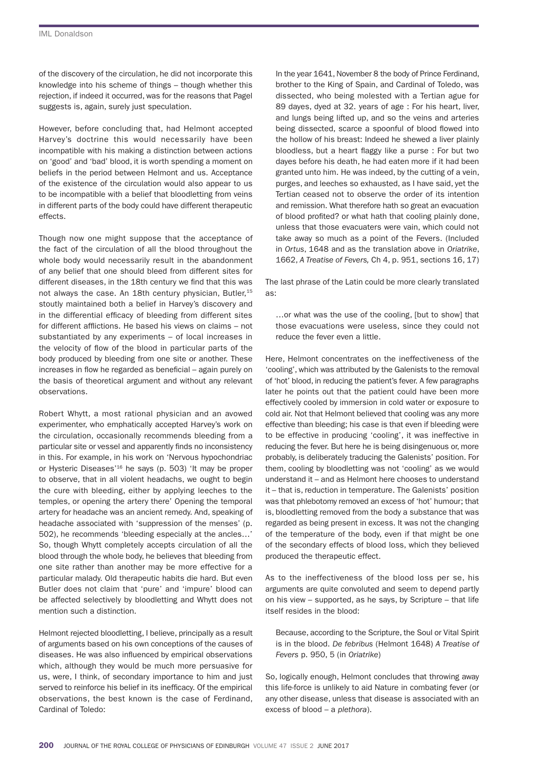of the discovery of the circulation, he did not incorporate this knowledge into his scheme of things – though whether this rejection, if indeed it occurred, was for the reasons that Pagel suggests is, again, surely just speculation.

However, before concluding that, had Helmont accepted harvey's doctrine this would necessarily have been incompatible with his making a distinction between actions on 'good' and 'bad' blood, it is worth spending a moment on beliefs in the period between Helmont and us. Acceptance of the existence of the circulation would also appear to us to be incompatible with a belief that bloodletting from veins in different parts of the body could have different therapeutic effects.

Though now one might suppose that the acceptance of the fact of the circulation of all the blood throughout the whole body would necessarily result in the abandonment of any belief that one should bleed from different sites for different diseases, in the 18th century we find that this was not always the case. An 18th century physician, Butler,<sup>15</sup> stoutly maintained both a belief in harvey's discovery and in the differential efficacy of bleeding from different sites for different afflictions. He based his views on claims - not substantiated by any experiments – of local increases in the velocity of flow of the blood in particular parts of the body produced by bleeding from one site or another. These increases in flow he regarded as beneficial – again purely on the basis of theoretical argument and without any relevant observations.

Robert Whytt, a most rational physician and an avowed experimenter, who emphatically accepted harvey's work on the circulation, occasionally recommends bleeding from a particular site or vessel and apparently finds no inconsistency in this. For example, in his work on 'Nervous hypochondriac or Hysteric Diseases'<sup>16</sup> he says (p. 503) 'It may be proper to observe, that in all violent headachs, we ought to begin the cure with bleeding, either by applying leeches to the temples, or opening the artery there' opening the temporal artery for headache was an ancient remedy. And, speaking of headache associated with 'suppression of the menses' (p. 502), he recommends 'bleeding especially at the ancles…' so, though Whytt completely accepts circulation of all the blood through the whole body, he believes that bleeding from one site rather than another may be more effective for a particular malady. Old therapeutic habits die hard. But even butler does not claim that 'pure' and 'impure' blood can be affected selectively by bloodletting and Whytt does not mention such a distinction.

helmont rejected bloodletting, i believe, principally as a result of arguments based on his own conceptions of the causes of diseases. He was also influenced by empirical observations which, although they would be much more persuasive for us, were, i think, of secondary importance to him and just served to reinforce his belief in its inefficacy. Of the empirical observations, the best known is the case of ferdinand, Cardinal of Toledo:

In the year 1641, November 8 the body of Prince Ferdinand, brother to the King of Spain, and Cardinal of Toledo, was dissected, who being molested with a Tertian ague for 89 dayes, dyed at 32. years of age : for his heart, liver, and lungs being lifted up, and so the veins and arteries being dissected, scarce a spoonful of blood flowed into the hollow of his breast: indeed he shewed a liver plainly bloodless, but a heart flaggy like a purse : For but two dayes before his death, he had eaten more if it had been granted unto him. he was indeed, by the cutting of a vein, purges, and leeches so exhausted, as I have said, yet the Tertian ceased not to observe the order of its intention and remission. What therefore hath so great an evacuation of blood profited? or what hath that cooling plainly done, unless that those evacuaters were vain, which could not take away so much as a point of the fevers. (included in *Ortus*, 1648 and as the translation above in *Oriatrike*, 1662, *A Treatise of Fevers,* Ch 4, p. 951, sections 16, 17)

The last phrase of the Latin could be more clearly translated as:

…or what was the use of the cooling, [but to show] that those evacuations were useless, since they could not reduce the fever even a little.

here, helmont concentrates on the ineffectiveness of the 'cooling', which was attributed by the galenists to the removal of 'hot' blood, in reducing the patient's fever. A few paragraphs later he points out that the patient could have been more effectively cooled by immersion in cold water or exposure to cold air. Not that Helmont believed that cooling was any more effective than bleeding; his case is that even if bleeding were to be effective in producing 'cooling', it was ineffective in reducing the fever. But here he is being disingenuous or, more probably, is deliberately traducing the galenists' position. for them, cooling by bloodletting was not 'cooling' as we would understand it – and as Helmont here chooses to understand it – that is, reduction in temperature. The Galenists' position was that phlebotomy removed an excess of 'hot' humour; that is, bloodletting removed from the body a substance that was regarded as being present in excess. it was not the changing of the temperature of the body, even if that might be one of the secondary effects of blood loss, which they believed produced the therapeutic effect.

As to the ineffectiveness of the blood loss per se, his arguments are quite convoluted and seem to depend partly on his view – supported, as he says, by scripture – that life itself resides in the blood:

because, according to the scripture, the soul or vital spirit is in the blood. *De febribus* (helmont 1648) *A Treatise of Fevers* p. 950, 5 (in *Oriatrike*)

so, logically enough, helmont concludes that throwing away this life-force is unlikely to aid Nature in combating fever (or any other disease, unless that disease is associated with an excess of blood – a *plethora*).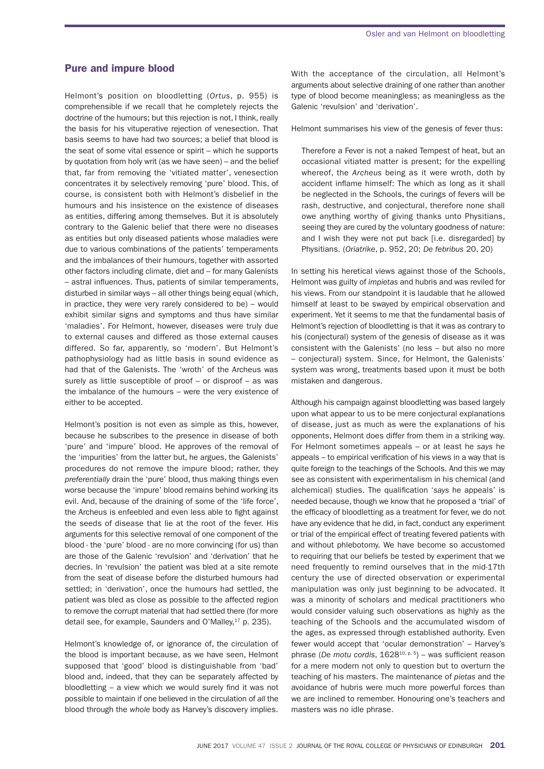# Pure and impure blood

helmont's position on bloodletting (*Ortus*, p. 955) is comprehensible if we recall that he completely rejects the doctrine of the humours; but this rejection is not, I think, really the basis for his vituperative rejection of venesection. That basis seems to have had two sources; a belief that blood is the seat of some vital essence or spirit – which he supports by quotation from holy writ (as we have seen) – and the belief that, far from removing the 'vitiated matter', venesection concentrates it by selectively removing 'pure' blood. This, of course, is consistent both with helmont's disbelief in the humours and his insistence on the existence of diseases as entities, differing among themselves. but it is absolutely contrary to the galenic belief that there were no diseases as entities but only diseased patients whose maladies were due to various combinations of the patients' temperaments and the imbalances of their humours, together with assorted other factors including climate, diet and – for many galenists – astral influences. Thus, patients of similar temperaments, disturbed in similar ways – all other things being equal (which, in practice, they were very rarely considered to be) – would exhibit similar signs and symptoms and thus have similar 'maladies'. for helmont, however, diseases were truly due to external causes and differed as those external causes differed. So far, apparently, so 'modern'. But Helmont's pathophysiology had as little basis in sound evidence as had that of the Galenists. The 'wroth' of the Archeus was surely as little susceptible of proof – or disproof – as was the imbalance of the humours – were the very existence of either to be accepted.

helmont's position is not even as simple as this, however, because he subscribes to the presence in disease of both 'pure' and 'impure' blood. he approves of the removal of the 'impurities' from the latter but, he argues, the Galenists' procedures do not remove the impure blood; rather, they *preferentially* drain the 'pure' blood, thus making things even worse because the 'impure' blood remains behind working its evil. And, because of the draining of some of the 'life force', the Archeus is enfeebled and even less able to fight against the seeds of disease that lie at the root of the fever. his arguments for this selective removal of one component of the blood - the 'pure' blood - are no more convincing (for us) than are those of the galenic 'revulsion' and 'derivation' that he decries. in 'revulsion' the patient was bled at a site remote from the seat of disease before the disturbed humours had settled; in 'derivation', once the humours had settled, the patient was bled as close as possible to the affected region to remove the corrupt material that had settled there (for more detail see, for example, Saunders and O'Malley,<sup>17</sup> p. 235).

helmont's knowledge of, or ignorance of, the circulation of the blood is important because, as we have seen, Helmont supposed that 'good' blood is distinguishable from 'bad' blood and, indeed, that they can be separately affected by bloodletting  $-$  a view which we would surely find it was not possible to maintain if one believed in the circulation of *all* the blood through the *whole* body as Harvey's discovery implies.

With the acceptance of the circulation, all helmont's arguments about selective draining of one rather than another type of blood become meaningless; as meaningless as the Galenic 'revulsion' and 'derivation'.

helmont summarises his view of the genesis of fever thus:

Therefore a Fever is not a naked Tempest of heat, but an occasional vitiated matter is present; for the expelling whereof, the *Archeus* being as it were wroth, doth by accident inflame himself: The which as long as it shall be neglected in the schools, the curings of fevers will be rash, destructive, and conjectural, therefore none shall owe anything worthy of giving thanks unto Physitians, seeing they are cured by the voluntary goodness of nature: and I wish they were not put back [i.e. disregarded] by Physitians. (*Oriatrike*, p. 952, 20; *De febribus* 20, 20)

In setting his heretical views against those of the Schools, helmont was guilty of *impietas* and hubris and was reviled for his views. from our standpoint it is laudable that he allowed himself at least to be swayed by empirical observation and experiment. yet it seems to me that the fundamental basis of helmont's rejection of bloodletting is that it was as contrary to his (conjectural) system of the genesis of disease as it was consistent with the galenists' (no less – but also no more – conjectural) system. since, for helmont, the galenists' system was wrong, treatments based upon it must be both mistaken and dangerous.

although his campaign against bloodletting was based largely upon what appear to us to be mere conjectural explanations of disease, just as much as were the explanations of his opponents, helmont does differ from them in a striking way. for helmont sometimes appeals – or at least he *says* he appeals – to empirical verification of his views in a way that is quite foreign to the teachings of the Schools. And this we may see as consistent with experimentalism in his chemical (and alchemical) studies. The qualification 'says he appeals' is needed because, though we know that he proposed a 'trial' of the efficacy of bloodletting as a treatment for fever, we do not have any evidence that he did, in fact, conduct any experiment or trial of the empirical effect of treating fevered patients with and without phlebotomy. We have become so accustomed to requiring that our beliefs be tested by experiment that we need frequently to remind ourselves that in the mid-17th century the use of directed observation or experimental manipulation was only just beginning to be advocated. it was a minority of scholars and medical practitioners who would consider valuing such observations as highly as the teaching of the schools and the accumulated wisdom of the ages, as expressed through established authority. Even fewer would accept that 'ocular demonstration' – harvey's phrase (*De motu cordis*, 1628<sup>10, p. 5</sup>) – was sufficient reason for a mere modern not only to question but to overturn the teaching of his masters. the maintenance of *pietas* and the avoidance of hubris were much more powerful forces than we are inclined to remember. Honouring one's teachers and masters was no idle phrase.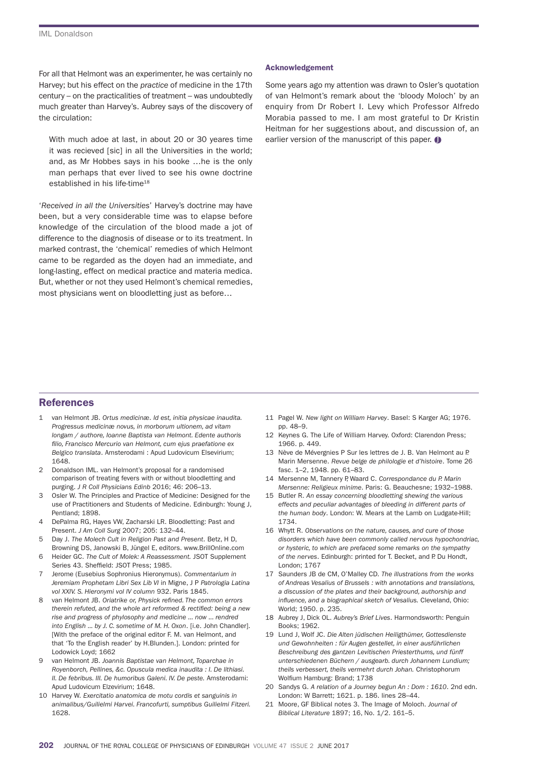for all that helmont was an experimenter, he was certainly no harvey; but his effect on the *practice* of medicine in the 17th century – on the practicalities of treatment – was undoubtedly much greater than harvey's. aubrey says of the discovery of the circulation:

With much adoe at last, in about 20 or 30 yeares time it was recieved [sic] in all the Universities in the world; and, as Mr Hobbes says in his booke ... he is the only man perhaps that ever lived to see his owne doctrine established in his life-time<sup>18</sup>

'*Received in all the Universities*' harvey's doctrine may have been, but a very considerable time was to elapse before knowledge of the circulation of the blood made a jot of difference to the diagnosis of disease or to its treatment. in marked contrast, the 'chemical' remedies of which helmont came to be regarded as the doyen had an immediate, and long-lasting, effect on medical practice and materia medica. But, whether or not they used Helmont's chemical remedies, most physicians went on bloodletting just as before…

#### Acknowledgement

Some years ago my attention was drawn to Osler's quotation of van helmont's remark about the 'bloody moloch' by an enquiry from Dr Robert I. Levy which Professor Alfredo Morabia passed to me. I am most grateful to Dr Kristin heitman for her suggestions about, and discussion of, an earlier version of the manuscript of this paper.  $\bullet$ 

#### References

- 1 van helmont Jb. *Ortus medicinæ*. *Id est, initia physicae inaudita. Progressus medicinæ novus, in morborum ultionem, ad vitam longam / authore, Ioanne Baptista van Helmont. Edente authoris fi lio, Francisco Mercurio van Helmont, cum ejus praefatione ex Belgico translata*. Amsterodami : Apud Ludovicum Elsevirium; 1648.
- 2 Donaldson IML. van Helmont's proposal for a randomised comparison of treating fevers with or without bloodletting and purging. *J R Coll Physicians Edinb* 2016; 46: 206–13.
- 3 Osler W. The Principles and Practice of Medicine: Designed for the use of Practitioners and Students of Medicine. Edinburgh: Young J, Pentland; 1898.
- 4 DePalma RG, Hayes VW, Zacharski LR. Bloodletting: Past and Present. *J Am Coll Surg* 2007; 205: 132–44.
- 5 Day J. The Molech Cult in Religion Past and Present. Betz, H D, Browning DS, Janowski B, Jüngel E, editors. www.BrillOnline.com
- 6 heider gC. *The Cult of Molek: A Reassessment.* Jsot supplement Series 43. Sheffield: JSOT Press; 1985.
- 7 Jerome (eusebius sophronius hieronymus). *Commentarium in Jeremiam Prophetam Libri Sex Lib VI* in migne, J P *Patrologia Latina vol XXIV. S. Hieronymi vol IV column* 932. Paris 1845.
- 8 van Helmont JB. Oriatrike or, Physick refined. The common errors *therein refuted, and the whole art reformed & rectified: being a new rise and progress of phylosophy and medicine ... now ... rendred into English ... by J. C. sometime of M. H. Oxon*. [i.e. John Chandler]. [With the preface of the original editor f. m. van helmont, and that 'To the English reader' by H.Blunden.]. London: printed for Lodowick Loyd: 1662
- van Helmont JB. Joannis Baptistae van Helmont, Toparchae in *Royenborch, Pellines, &c. Opuscula medica inaudita : I. De lithiasi. II. De febribus. III. De humoribus Galeni. IV. De peste.* amsterodami: apud ludovicum elzevirium; 1648.
- 10 harvey W. *Exercitatio anatomica de motu cordis et sanguinis in animalibus/Guilielmi Harvei. Francofurti, sumptibus Guilielmi Fitzeri.* 1628.
- 11 Pagel W. New light on William Harvey. Basel: S Karger AG; 1976. pp. 48–9.
- 12 Keynes G. The Life of William Harvey. Oxford: Clarendon Press; 1966. p. 449.
- 13 Nève de Mévergnies P Sur les lettres de J. B. Van Helmont au P. Marin Mersenne. Revue belge de philologie et d'histoire. Tome 26 fasc. 1–2, 1948. pp. 61–83.
- 14 mersenne m, tannery P, Waard C. *Correspondance du P. Marin Mersenne: Religieux minime*. Paris: g. beauchesne; 1932–1988.
- 15 Butler R. An essay concerning bloodletting shewing the various *effects and peculiar advantages of bleeding in different parts of the human body*. london: W. mears at the lamb on ludgate-hill; 1734.
- 16 Whytt R. Observations on the nature, causes, and cure of those *disorders which have been commonly called nervous hypochondriac, or hysteric, to which are prefaced some remarks on the sympathy of the nerves*. Edinburgh: printed for T. Becket, and P. Du Hondt, London; 1767
- 17 Saunders JB de CM, O'Malley CD. The illustrations from the works *of Andreas Vesalius of Brussels : with annotations and translations, a discussion of the plates and their background, authorship and infl uence, and a biographical sketch of Vesalius.* Cleveland, ohio: World; 1950. p. 235.
- 18 aubrey J, dick ol. *Aubrey's Brief Lives*. harmondsworth: Penguin books; 1962.
- 19 lund J, Wolf JC. *Die Alten jüdischen Heiligthümer, Gottesdienste und Gewohnheiten : für Augen gestellet, in einer ausführlichen Beschreibung des gantzen Levitischen Priesterthums, und fünff unterschiedenen Büchern / ausgearb. durch Johannem Lundium; theils verbessert, theils vermehrt durch Johan.* Christophorum Wolfium Hamburg: Brand; 1738
- 20 sandys g. *A relation of a Journey begun An : Dom : 1610*. 2nd edn. london: W barrett; 1621. p. 186. lines 28–44.
- 21 moore, gf biblical notes 3. the image of moloch. *Journal of Biblical Literature* 1897; 16, no. 1/2. 161–5.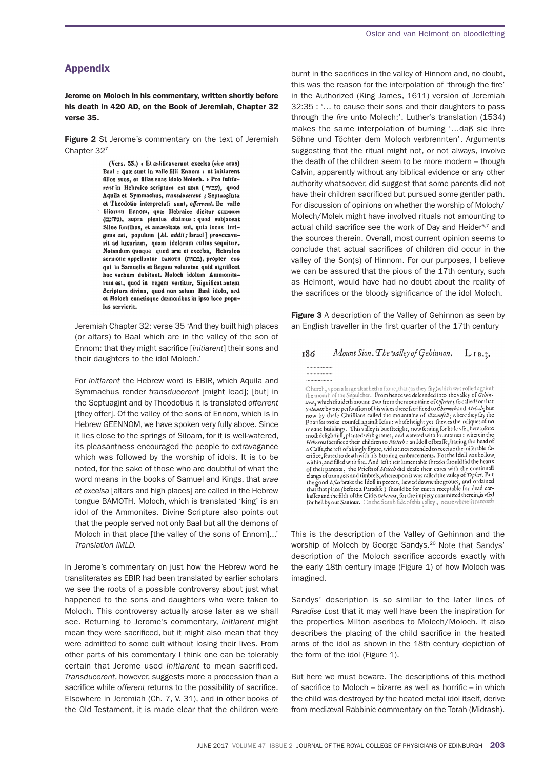# Appendix

Jerome on Moloch in his commentary, written shortly before his death in 420 AD, on the Book of Jeremiah, Chapter 32 verse 35.

Figure 2 St Jerome's commentary on the text of Jeremiah Chapter 32<sup>7</sup>

> (Vers. 35.) « Et ædificaverunt excelsa (sive aras) Baal: quæ sunt in valle filii Ennom: ut initiarent filios suos, et filias suas idolo Moloch. » Pro initiarent in Hebraico scriptum est EBIR ("ביר), quod Aquila et Symmachus, transducerent ; Septuaginta et Theodotio interpretati sunt, offerrent. De valle filiorum Ennom, qua: Hebraice dicitur GEENNOM (ביהגם), supra plenius diximus: quod subjaceat Siloe fontibus, et amænitate sui, quia locus irriguus est, populum [Al. addit; Israel] provecaverit ad luxuriam, quam idolorum cultus sequitur. Notandum quoque quod aræ et excelsa, Hebraico sermone appellantur BAMOTH (במות), propter eos qui in Samuelis et Regum volumine quid significet hoc verbum dubitant. Moloch idolum Ammonitarum est, quod in regem vertitur, Significat autem Scriptura divina, quod non solum Baal idolo, sed et Moloch cunctisque dæmonibus in ipso loco populus servierit.

Jeremiah Chapter 32: verse 35 'And they built high places (or altars) to baal which are in the valley of the son of Ennom: that they might sacrifice [initiarent] their sons and their daughters to the idol moloch.'

For *initiarent* the Hebrew word is EBIR, which Aquila and symmachus render *transducerent* [might lead]; [but] in the septuagint and by theodotius it is translated *offerrent* [they offer]. Of the valley of the sons of Ennom, which is in Hebrew GEENNOM, we have spoken very fully above. Since it lies close to the springs of Siloam, for it is well-watered, its pleasantness encouraged the people to extravagance which was followed by the worship of idols. it is to be noted, for the sake of those who are doubtful of what the word means in the books of samuel and Kings, that *arae et excelsa* [altars and high places] are called in the hebrew tongue BAMOTH. Moloch, which is translated 'king' is an idol of the Ammonites. Divine Scripture also points out that the people served not only Baal but all the demons of Moloch in that place [the valley of the sons of Ennom]...' *Translation IMLD.*

In Jerome's commentary on just how the Hebrew word he transliterates as EBIR had been translated by earlier scholars we see the roots of a possible controversy about just what happened to the sons and daughters who were taken to Moloch. This controversy actually arose later as we shall see. Returning to Jerome's commentary, *initiarent* might mean they were sacrificed, but it might also mean that they were admitted to some cult without losing their lives. from other parts of his commentary i think one can be tolerably certain that Jerome used *initiarent* to mean sacrificed. *Transducerent*, however, suggests more a procession than a sacrifice while *offerent* returns to the possibility of sacrifice. Elsewhere in Jeremiah (Ch. 7, V. 31), and in other books of the Old Testament, it is made clear that the children were burnt in the sacrifices in the valley of Hinnom and, no doubt, this was the reason for the interpolation of 'through the fire' in the Authorized (King James, 1611) version of Jeremiah 32:35 : '… to cause their sons and their daughters to pass through the *fire* unto Molech;'. Luther's translation (1534) makes the same interpolation of burning '…daß sie ihre Söhne und Töchter dem Moloch verbrennten'. Arguments suggesting that the ritual might not, or not always, involve the death of the children seem to be more modern – though Calvin, apparently without any biblical evidence or any other authority whatsoever, did suggest that some parents did not have their children sacrificed but pursued some gentler path. For discussion of opinions on whether the worship of Moloch/ molech/molek might have involved rituals not amounting to actual child sacrifice see the work of Day and Heider<sup>5,7</sup> and the sources therein. overall, most current opinion seems to conclude that actual sacrifices of children did occur in the valley of the Son(s) of Hinnom. For our purposes, I believe we can be assured that the pious of the 17th century, such as helmont, would have had no doubt about the reality of the sacrifices or the bloody significance of the idol Moloch.

Figure 3 A description of the Valley of Gehinnon as seen by an English traveller in the first quarter of the 17th century

#### Mount Sion. The valley of Gehinnon. 186  $L_{IB,2}$

Church, vpon a large altar lieth a ftone, that (as they fay) which was rolled againft<br>the mouth of the Sepulcher. From hence we defeended into the valley of Gehinepulcher. From hence we defcended into the valley of Gehinnon, which divide the mount Sion from the mountaine of Offence; fo called for that<br>Salomon by the perfivation of his wives there factificed to Channoch and Molech; but now by thefe Chriftians called the mountaine of Illcounfell; where they fay the Pharifes tooke counfell againft Ielus : whole height yet fhewes the reliques of no<br>meane buildings. This valley is but ftreight, now ferting for little vfe ; heretofore<br>moft delightfull, planted with groues, and watered wi a Calfe, the reft of a kingly figure, with armes extended to receive the miferable facrifice, feared to death with his burning embracements. For the Idoll was hollow, within, and filled with fire. And left their lamentable threeks thould fad the hearts while, on the Briefs of Meleo did dealer their eares with the continual<br>clanges of their parents, the Pricits of Meleo did dealer their eares with the continual<br>clanges of trumpets and timbrels, whereupon it was called the the good loflas brake the Idoll in peeces, hewed downe the groues, and ordained that that effects a Paradile') fhould be for cuer a receptable for dead car-<br>kaffes and the filth of the Citie. *Geherma*, for the impiety committed therein, is veed for hell by our Sauiour. On the South fide of this valley, neare where it is

This is the description of the Valley of Gehinnon and the worship of Molech by George Sandys.<sup>20</sup> Note that Sandys' description of the Moloch sacrifice accords exactly with the early 18th century image (Figure 1) of how Moloch was imagined.

sandys' description is so similar to the later lines of *Paradise Lost* that it may well have been the inspiration for the properties milton ascribes to molech/moloch. it also describes the placing of the child sacrifice in the heated arms of the idol as shown in the 18th century depiction of the form of the idol (Figure 1).

But here we must beware. The descriptions of this method of sacrifice to Moloch – bizarre as well as horrific – in which the child was destroyed by the heated metal idol itself, derive from mediæval Rabbinic commentary on the Torah (Midrash).